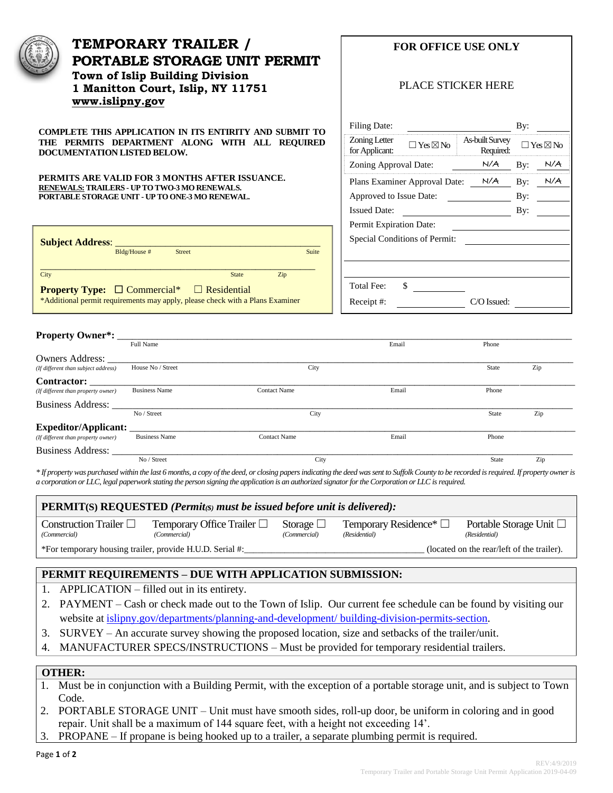|                                                                                                                                                    | TEMPORARY TRAILER /<br>Town of Islip Building Division      | PORTABLE STORAGE UNIT PERMIT                                                  | <b>FOR OFFICE USE ONLY</b><br><b>PLACE STICKER HERE</b>      |                                                 |                           |  |
|----------------------------------------------------------------------------------------------------------------------------------------------------|-------------------------------------------------------------|-------------------------------------------------------------------------------|--------------------------------------------------------------|-------------------------------------------------|---------------------------|--|
| 1 Manitton Court, Islip, NY 11751<br>www.islipny.gov                                                                                               |                                                             |                                                                               |                                                              |                                                 |                           |  |
|                                                                                                                                                    |                                                             |                                                                               | Filing Date:                                                 |                                                 | $\mathbf{By:}$            |  |
| <b>COMPLETE THIS APPLICATION IN ITS ENTIRITY AND SUBMIT TO</b><br>THE PERMITS DEPARTMENT ALONG WITH ALL REQUIRED<br>DOCUMENTATION LISTED BELOW.    |                                                             |                                                                               | Zoning Letter<br>$\Box$ Yes $\boxtimes$ No<br>for Applicant: | <b>As-built Survey</b><br>Required:             | $\Box$ Yes $\boxtimes$ No |  |
|                                                                                                                                                    |                                                             |                                                                               | Zoning Approval Date:                                        | $N/A$ By:                                       | N/A                       |  |
| PERMITS ARE VALID FOR 3 MONTHS AFTER ISSUANCE.<br>RENEWALS: TRAILERS - UP TO TWO-3 MO RENEWALS.<br>PORTABLE STORAGE UNIT - UP TO ONE-3 MO RENEWAL. |                                                             | Plans Examiner Approval Date: N/A<br>Approved to Issue Date:                  |                                                              | $\mathbf{By:}$<br>N/A<br>By:                    |                           |  |
|                                                                                                                                                    |                                                             |                                                                               | Issued Date: By: By:                                         |                                                 |                           |  |
|                                                                                                                                                    |                                                             |                                                                               | Permit Expiration Date:                                      | the contract of the contract of the contract of |                           |  |
| <b>Subject Address:</b>                                                                                                                            |                                                             |                                                                               | Special Conditions of Permit:                                |                                                 |                           |  |
|                                                                                                                                                    | Street<br>Bldg/House #                                      | Suite                                                                         |                                                              |                                                 |                           |  |
| City                                                                                                                                               |                                                             | State<br>Zip                                                                  |                                                              |                                                 |                           |  |
|                                                                                                                                                    | <b>Property Type:</b> $\Box$ Commercial* $\Box$ Residential |                                                                               | $\frac{\sqrt{2}}{2}$<br>Total Fee:                           |                                                 |                           |  |
|                                                                                                                                                    |                                                             | *Additional permit requirements may apply, please check with a Plans Examiner | Receipt #:                                                   | C/O Issued:                                     |                           |  |
|                                                                                                                                                    |                                                             |                                                                               |                                                              |                                                 |                           |  |
|                                                                                                                                                    |                                                             | <b>Property Owner*:</b> Full Name                                             | Email                                                        | Phone                                           |                           |  |
| Owners Address:<br>(If different than subject address)                                                                                             | House No / Street                                           | City                                                                          |                                                              | State                                           | Zip                       |  |
| Contractor:                                                                                                                                        | <b>Business Name</b>                                        | <b>Contact Name</b>                                                           |                                                              |                                                 |                           |  |
| (If different than property owner)                                                                                                                 |                                                             |                                                                               | Email                                                        | Phone                                           |                           |  |
| Business Address: __                                                                                                                               | No / Street                                                 | City                                                                          |                                                              | State                                           | Zip                       |  |
| Expeditor/Applicant:                                                                                                                               |                                                             |                                                                               |                                                              |                                                 |                           |  |
| (If different than property owner)                                                                                                                 | <b>Business Name</b>                                        | <b>Contact Name</b>                                                           | Email                                                        | Phone                                           |                           |  |

*\* If property was purchased within the last 6 months, a copy of the deed, or closing papers indicating the deed was sent to Suffolk County to be recorded is required. If property owner is a corporation or LLC, legal paperwork stating the person signing the application is an authorized signator for the Corporation or LLC is required.*

No / Street Zip

Business Address: \_\_\_\_\_\_\_\_\_\_\_\_\_\_\_\_\_\_\_\_\_\_\_\_\_\_\_\_\_\_\_\_\_\_\_\_\_\_\_\_\_\_\_\_\_\_\_\_\_\_\_\_\_\_\_\_\_\_\_\_\_\_\_\_\_\_\_\_\_\_\_\_\_\_\_\_\_\_\_\_\_\_\_\_\_\_\_\_\_\_\_\_

| $\mathbf{PERMIT}(S)$ REQUESTED (Permit(s) must be issued before unit is delivered):                     |                                                 |                                |                                              |                                               |  |  |  |
|---------------------------------------------------------------------------------------------------------|-------------------------------------------------|--------------------------------|----------------------------------------------|-----------------------------------------------|--|--|--|
| Construction Trailer $\square$<br>(Commercial)                                                          | Temporary Office Trailer $\Box$<br>(Commercial) | Storage $\Box$<br>(Commercial) | Temporary Residence* $\Box$<br>(Residential) | Portable Storage Unit $\Box$<br>(Residential) |  |  |  |
| *For temporary housing trailer, provide H.U.D. Serial #:_<br>(located on the rear/left of the trailer). |                                                 |                                |                                              |                                               |  |  |  |

## **PERMIT REQUIREMENTS – DUE WITH APPLICATION SUBMISSION:**

1. APPLICATION – filled out in its entirety.

- 2. PAYMENT Cash or check made out to the Town of Islip. Our current fee schedule can be found by visiting our website at [islipny.gov/departments/planning-and-development/ building-division-permits-section.](http://islipny.gov/departments/planning-and-development/building-division-permits-section)
- 3. SURVEY An accurate survey showing the proposed location, size and setbacks of the trailer/unit.
- 4. MANUFACTURER SPECS/INSTRUCTIONS Must be provided for temporary residential trailers.

## **OTHER:**

- 1. Must be in conjunction with a Building Permit, with the exception of a portable storage unit, and is subject to Town Code.
- 2. PORTABLE STORAGE UNIT Unit must have smooth sides, roll-up door, be uniform in coloring and in good repair. Unit shall be a maximum of 144 square feet, with a height not exceeding 14'.
- 3. PROPANE If propane is being hooked up to a trailer, a separate plumbing permit is required.